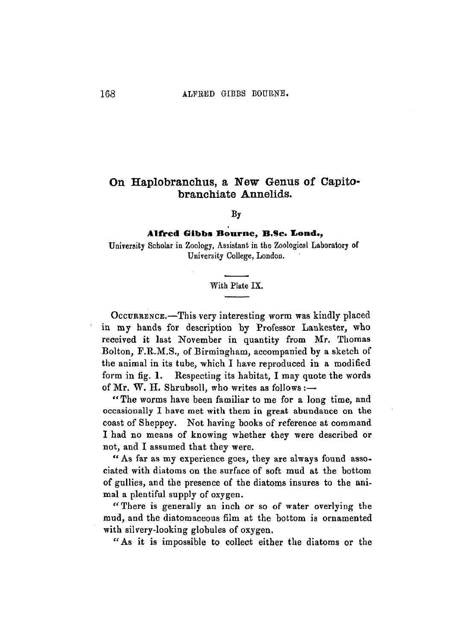## On Haplobranchus, a New Genus of Capito- foranchiate Annelids.

**By**

## **Alfred Gibbs Bourne, B.Sc. Lond.,**

University Scholar in Zoology, Assistant in the Zoological Laboratory of University College, London.

## With Plate IX.

OCCURRENCE.—This very interesting worm was kindly placed in my hands for description by Professor Lankester, who received it last November in quantity from Mr. Thomas Bolton, F.R.M.S., of Birmingham, accompanied by a sketch of the animal in its tube, which I have reproduced in a modified form in fig. 1. Respecting its habitat, I may quote the words of Mr. W. H. Shrubsoll, who writes as follows :-

"The worms have been familiar to me for a long time, and occasionally I have met with them in great abundance on the coast of Sheppey. Not having books of reference at command I had no means of knowing whether they were described or not, and I assumed that they were.

" As far as my experience goes, they are always found associated with diatoms on the surface of soft mud at the bottom of gullies, and the presence of the diatoms insures to the animal a plentiful supply of oxygen.

*"* There is generally an inch or so of water overlying the mud, and the diatomaceous film at the bottom is ornamented with silvery-looking globules of oxygen.

"As it is impossible to collect either the diatoms or the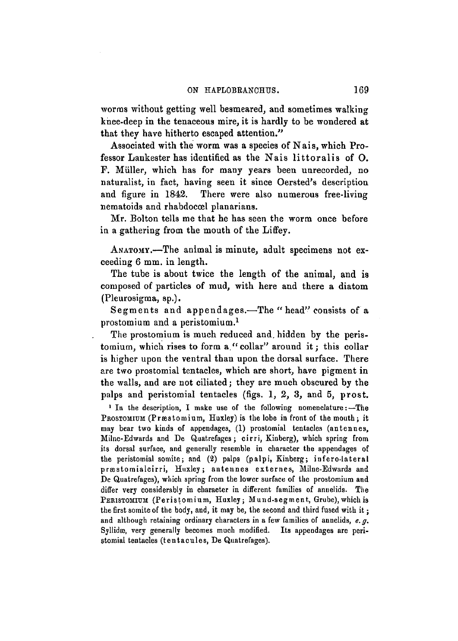worms without getting well besmeared, and sometimes walking knee-deep in the tenaceous mire, it is hardly to be wondered at that they have hitherto escaped attention."

Associated with the worm was a species of Nais, which Professor Lankester has identified as the Nais littoralis of O. F. Miiller, which has for many years been unrecorded, no naturalist, in fact, having seen it since Oersted's description and figure in 1842. There were also numerous free-living nematoids and rhabdoccel planarians.

Mr. Bolton tells me that he has seen the worm once before in a gathering from the mouth of the Liffey.

ANATOMY.—The animal is minute, adult specimens not exceeding 6 mm. in length.

The tube is about twice the length of the animal, and is composed of particles of mud, with here and there a diatom (Pleurosigma, sp.).

Segments and appendages.—The " head" consists of a prostomium and a peristomium.<sup>1</sup>

The prostomium is much reduced and. hidden by the peristomium, which rises to form a."collar" around it; this collar is higher upon the ventral than upon the dorsal surface. There are two prostomial tentacles, which are short, have pigment in the walls, and are not ciliated; they are much obscured by the palps and peristomial tentacles (figs. 1, 2, 3, and 5, prost.

<sup>1</sup> In the description, I make use of the following nomenclature:-The PROSTOMIUM (Præstomium, Huxley) is the lobe in front of the mouth; it may bear two kinds of appendages, (1) prostomial tentacles (antennes, Milne-Edwards and De Quatrefages; cirri, Kinberg), which spring from its dorsal surface, and generally resemble in character the appendages of the peristomial somite; and (2) palps (palpi, Kinberg; infero-lateral præstomialcirri, Huxley; antennes externes, Milne-Edwards and De Quatrefages), which spring from the lower surface of the prostomium and differ very considerably in character in different families of annelids. The PERISTOMIUM (Peristomium, Huxley; Mund-segment, Grube), which is the first somite of the body, and, it may be, the second and third fused with it; and although retaining ordinary characters in a few families of annelids, *e.g.* Syllidæ, very generally becomes much modified. Its appendages are peristomial tentacles (tentacules, De Quatrefages).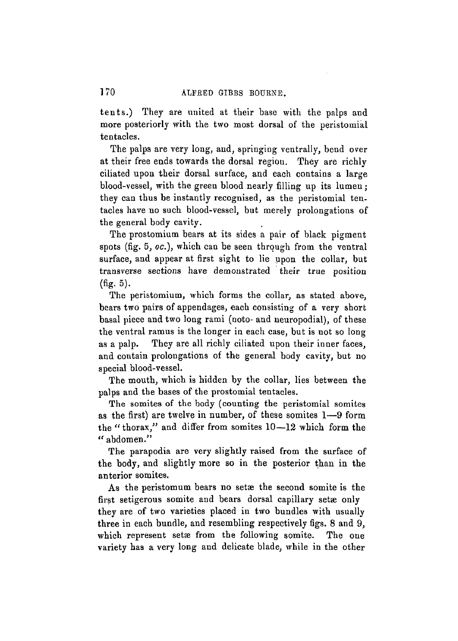tents.) They are united at their base with the palps and more posteriorly with the two most dorsal of the peristomial tentacles.

The palps are very long, and, springing ventrally, bend over at their free ends towards the dorsal regiou. They are richly ciliated upon their dorsal surface, and each contains a large blood-vessel, with the green blood nearly filling up its lumen; they can thus be instantly recognised, as the peristomial tentacles have no such blood-vessel, but merely prolongations of the general body cavity.

The prostomium bears at its sides a pair of black pigment spots (fig. 5, oc.), which can be seen through from the ventral surface, and appear at first sight to lie upon the collar, but transverse sections have demonstrated their true position (fig. 5).

The peristomium, which forms the collar, as stated above, bears two pairs of appendages, each consisting of a very short basal piece and two long rami (noto- and neuropodial), of these the ventral ramus is the longer in each case, but is not so long as a palp. They are all richly ciliated upon their inner faces, and contain prolongations of the general body cavity, but no special blood-vessel.

The mouth, which is hidden by the collar, lies between the palps and the bases of the prostomial tentacles.

The somites of the body (counting the peristomial somites as the first) are twelve in number, of these somites 1—9 form the " thorax," and differ from somites 10—12 which form the " abdomen."

The parapodia are very slightly raised from the surface of the body, and slightly more so in the posterior than in the anterior somites.

As the peristomum bears no setæ the second somite is the first setigerous somite and bears dorsal capillary setae only they are of two varieties placed in two bundles with usually three in each bundle, and resembling respectively figs. 8 and 9, which represent setæ from the following somite. The one variety has a very long and delicate blade, while in the other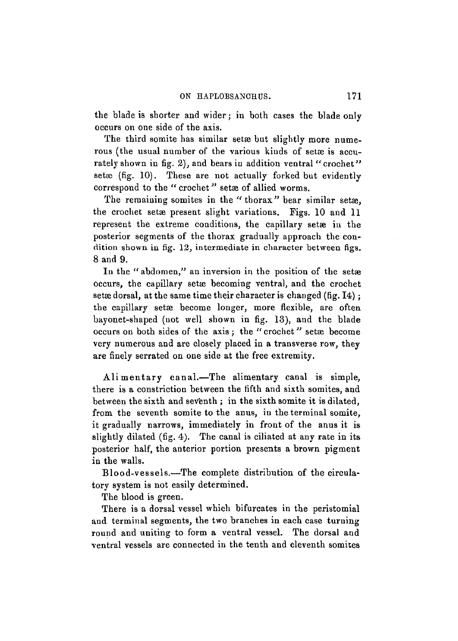the blade is shorter and wider; in both cases the blade only occurs on one side of the axis.

The third somite has similar setæbut slightly more numerous (the usual number of the various kinds of setæ is accurately shown in fig. 2), and bears in addition ventral "crochet" set $x$  (fig. 10). These are not actually forked but evidently correspond to the " crochet" setae of allied worms.

The remaining somites in the "thorax" bear similar setae. the crochet setae present slight variations. Figs. 10 and 11 represent the extreme conditions, the capillary setae in the posterior segments of the thorax gradually approach the condition shown in fig. 12, intermediate in character between figs. 8 and 9.

In the "abdomen," an inversion in the position of the setæ occurs, the capillary setæ becoming ventral, and the crochet setædorsal, at the same time their character is changed (fig.  $I4$ ); the capillary setae become longer, more flexible, are often bayonet-shaped (not well shown in fig. 13), and the blade occurs on both sides of the axis ; the " crochet" setae become very numerous and are closely placed in a transverse row, they are finely serrated on one side at the free extremity.

Alimentary canal.—The alimentary canal is simple. there is a constriction between the fifth and sixth somites, and between the sixth and seventh ; in the sixth somite it is dilated, from the seventh somite to the anus, in the terminal somite, it gradually narrows, immediately in front of the anus it is slightly dilated (fig. 4). The canal is ciliated at any rate in its posterior half, the anterior portion presents a brown pigment in the walls.

Blood-vessels.—The complete distribution of the circulatory system is not easily determined.

The blood is green.

There is a dorsal vessel which bifurcates in the peristomial and terminal segments, the two branches in each case turning round and uniting to form a ventral vessel. The dorsal and ventral vessels are connected in the tenth and eleventh somites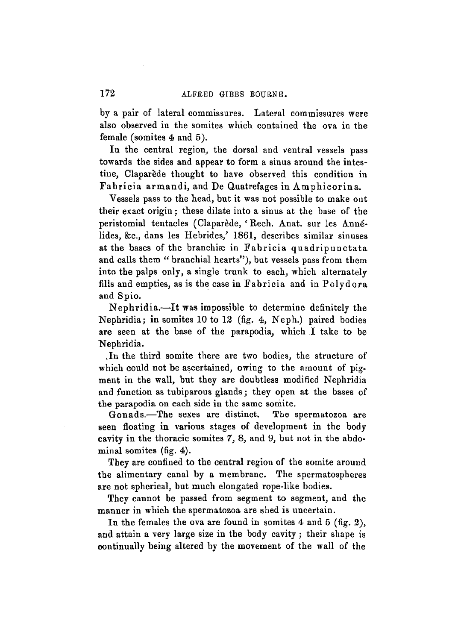by a pair of lateral commissures. Lateral commissures were also observed in the somites which contained the ova in the female (somites 4 and 5).

In the central region, the dorsal and ventral vessels pass towards the sides and appear to form a sinus around the intestine, Claparede thought to have observed this condition in Fabricia armandi, and De Quatrefages in Amphieorina.

Vessels pass to the head, but it was not possible to make out their exact origin; these dilate into a sinus at the base of the peristomial tentacles (Claparede, *'* Rech. Anat. sur les Annelides, &c, dans les Hebrides/ 1861, describes similar sinuses at the bases of the branchiæ in Fabricia quadripunctata and calls them " branchial hearts"), but vessels pass from them into the palps only, a single trunk to each, which alternately fills and empties, as is the case in Fabricia and in Polydora and Spio.

Nephridia.—It was impossible to determine definitely the Nephridia; in somites 10 to 12 (fig. 4, Neph.) paired bodies are seen at the base of the parapodia, which I take to be Nephridia.

In the third somite there are two bodies, the structure of which could not be ascertained, owing to the amount of pigment in the wall, but they are doubtless modified Nephridia and function as tubiparous glands; they open at the bases of the parapodia on each side in the same somite.

Gonads.—The sexes are distinct. The spermatozoa are seen floating in various stages of development in the body cavity in the thoracic somites 7, 8, and 9, but not in the abdominal somites (fig. 4).

They are confined to the central region of the somite around the alimentary canal by a membrane. The spermatospheres are not spherical, but much elongated rope-like bodies.

They cannot be passed from segment to segment, and the manner in which the spermatozoa are shed is uncertain.

In the females the ova are found in somites  $4$  and  $5$  (fig. 2), and attain a very large size in the body cavity; their shape is continually being altered by the movement of the wall of the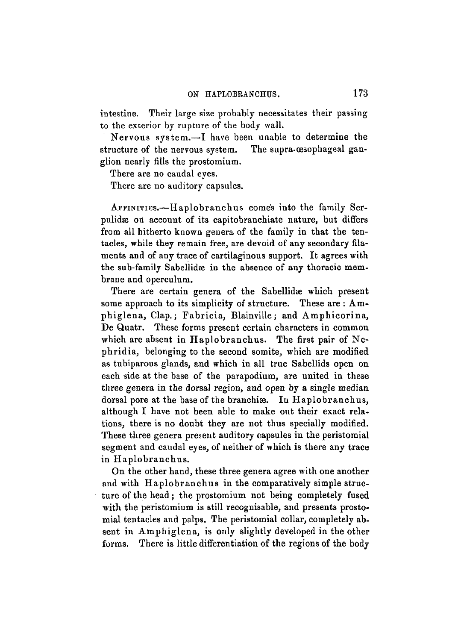intestine. Their large size probably necessitates their passing to the exterior by rupture of the body wall.

Nervous system.—I have been unable to determine the structure of the nervous system. The supra-œsophageal ganglion nearly fills the prostomium.

There are no caudal eyes.

There are no auditory capsules.

AFFINITIES.—Haplobranchus comes into the family Serpulidæ on account of its capitobranchiate nature, but differs from all hitherto known genera of the family in that the tentacles, while they remain free, are devoid of any secondary filaments and of any trace of cartilaginous support. It agrees with the sub-family Sabellidae in the absence of any thoracic membrane and operculum.

There are certain genera of the Sabellidae which present some approach to its simplicity of structure. These are : Amphiglena, Clap.; Fabricia, Blainville; and Amphicorina, De Quatr. These forms present certain characters in common which are absent in Haplobranchus. The first pair of Nephridia, belonging to the second somite, which are modified as tubiparous glands, and which in all true Sabellids open on each side at the base of the parapodium, are united in these three genera in the dorsal region, and open by a single median dorsal pore at the base of the branchiæ. In Haplobranchus, although I have not been able to make out their exact relations, there is no doubt they are not thus specially modified. These three genera present auditory capsules in the peristomial segment and caudal eyes, of neither of which is there any trace in Haplobranchus.

On the other hand, these three genera agree with one another and with Haplobranchus in the comparatively simple structure of the head ; the prostomium not being completely fused with the peristomium is still recognisable, and presents prostomial tentacles and palps. The peristomial collar, completely absent in Amphiglena, is only slightly developed in the other forms. There is little differentiation of the regions of the body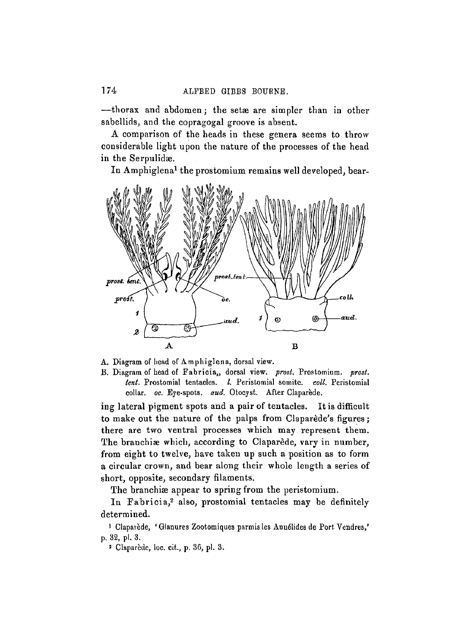—thorax and abdomen*;* the setae are simpler than in other sabellids, and the copragogal groove is absent.

A comparison of the heads in these genera seems to throw considerable light upon the nature of the processes of the head in the Serpulidæ.

In Amphiglena<sup>1</sup> the prostomium remains well developed, bear-



A. Diagram of head of Amphiglena, dorsal view.

B. Diagram of head of Eabricia,, dorsal view, *prost.* Prostomium. *prost. tent.* Prostomial tentacles. *I.* Peristomial somite, *coll.* Peristomial collar, *oc.* Eye-spots, *aud.* Otocyst. After Claparede.

ing lateral pigment spots and a pair of tentacles. It is difficult to make out the nature of the palps from Claparede's figures; there are two ventral processes which may represent them. The branchiæ which, according to Claparede, vary in number, from eight to twelve, have taken up such a position as to form a circular crown, and bear along their whole length a series of short, opposite, secondary filaments.

The branchiae appear to spring from the peristomium.

In Fabricia,<sup>2</sup> also, prostomial tentacles may be definitely determined.

<sup>1</sup> Claparède, 'Glanures Zootomiques parmis les Annélides de Port Vendres,' p. 32, pl. 3.

Claparede, loc. cit., p. 30, pi. 3.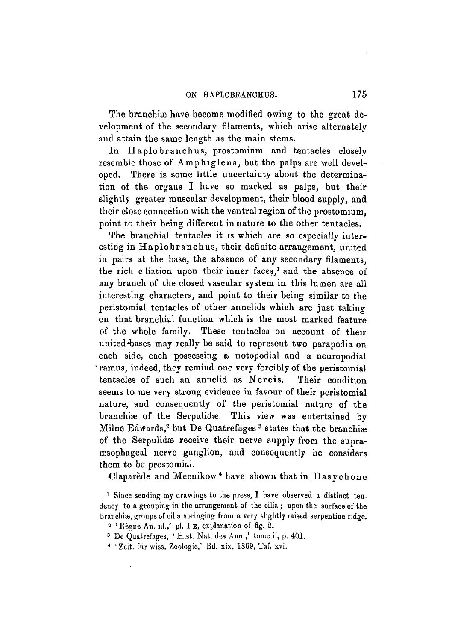The branchiæ have become modified owing to the great development of the secondary filaments, which arise alternately and attain the same length as the main stems.

In Haplobranchus, prostomium and tentacles closely resemble those of Amphiglena, but the palps are well developed. There is some little uncertainty about the determination of the organs I have so marked as palps, but their slightly greater muscular development, their blood supply, and their close connection with the ventral region of the prostomium, point to their being different in nature to the other tentacles.

The branchial tentacles it is which are so especially interesting in Haplobranchus, their definite arrangement, united in pairs at the base, the absence of any secondary filaments, the rich ciliation upon their inner faces,<sup>1</sup> and the absence of any branch of the closed vascular system in this lumen are all interesting characters, and point to their being similar to the peristomial tentacles of other annelids which are just taking on that branchial function which is the most marked feature of the whole family. These tentacles on account of their united bases may really be said to represent two parapodia on each side, each possessing a notopodial and a neuropodial • ramus, indeed, they remind one very forcibly of the peristomial tentacles of such an annelid as Nereis. Their condition seems to me very strong evidence in favour of their peristomial nature, and consequently of the peristomial nature of the branchiæ of the Serpulidæ. This view was entertained by Milne Edwards.<sup>2</sup> but De Quatrefages<sup>3</sup> states that the branchine of the Serpulidæ receive their nerve supply from the supraoesophageal nerve ganglion, and consequently he considers them to be prostomial.

Claparede and Mecnikow*<sup>i</sup>* have shown that in Dasychone

1 Since sending my drawings to the press, I have observed a distinct tendency to a grouping in the arrangement of the cilia ; upon the surface of the branchiæ, groups of cilia springing from a very slightly raised serpentine ridge.

- 3 De Quatrefages, ' Hist. Nat. des Ann.,' tome ii, p. 401.
- \* ' Zeit. fur wiss. Zoologie,<sup>1</sup> Bd. xix, 1S69, Taf. xvi.

<sup>&</sup>lt;sup>2</sup> 'Règne An. ill.,' pl. 1 E, explanation of fig. 2.